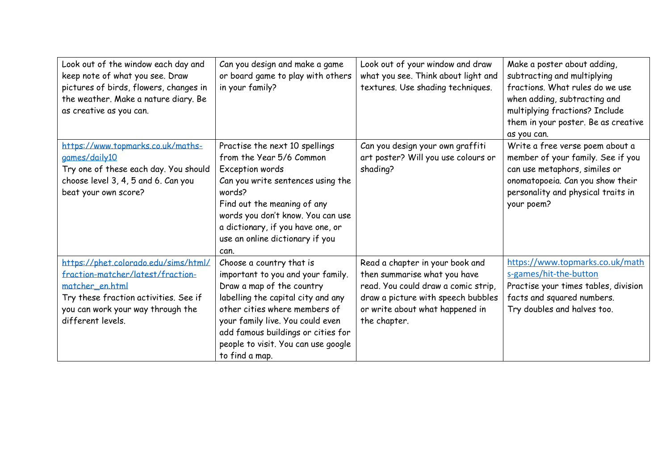| Look out of the window each day and<br>keep note of what you see. Draw<br>pictures of birds, flowers, changes in<br>the weather. Make a nature diary. Be<br>as creative as you can.             | Can you design and make a game<br>or board game to play with others<br>in your family?                                                                                                                                                                                                               | Look out of your window and draw<br>what you see. Think about light and<br>textures. Use shading techniques.                                                                                    | Make a poster about adding,<br>subtracting and multiplying<br>fractions. What rules do we use<br>when adding, subtracting and<br>multiplying fractions? Include<br>them in your poster. Be as creative<br>as you can. |
|-------------------------------------------------------------------------------------------------------------------------------------------------------------------------------------------------|------------------------------------------------------------------------------------------------------------------------------------------------------------------------------------------------------------------------------------------------------------------------------------------------------|-------------------------------------------------------------------------------------------------------------------------------------------------------------------------------------------------|-----------------------------------------------------------------------------------------------------------------------------------------------------------------------------------------------------------------------|
| https://www.topmarks.co.uk/maths-<br>games/daily10<br>Try one of these each day. You should<br>choose level 3, 4, 5 and 6. Can you<br>beat your own score?                                      | Practise the next 10 spellings<br>from the Year 5/6 Common<br>Exception words<br>Can you write sentences using the<br>words?<br>Find out the meaning of any<br>words you don't know. You can use<br>a dictionary, if you have one, or<br>use an online dictionary if you<br>can.                     | Can you design your own graffiti<br>art poster? Will you use colours or<br>shading?                                                                                                             | Write a free verse poem about a<br>member of your family. See if you<br>can use metaphors, similes or<br>onomatopoeia. Can you show their<br>personality and physical traits in<br>your poem?                         |
| https://phet.colorado.edu/sims/html/<br>fraction-matcher/latest/fraction-<br>matcher_en.html<br>Try these fraction activities. See if<br>you can work your way through the<br>different levels. | Choose a country that is<br>important to you and your family.<br>Draw a map of the country<br>labelling the capital city and any<br>other cities where members of<br>your family live. You could even<br>add famous buildings or cities for<br>people to visit. You can use google<br>to find a map. | Read a chapter in your book and<br>then summarise what you have<br>read. You could draw a comic strip,<br>draw a picture with speech bubbles<br>or write about what happened in<br>the chapter. | https://www.topmarks.co.uk/math<br>s-games/hit-the-button<br>Practise your times tables, division<br>facts and squared numbers.<br>Try doubles and halves too.                                                        |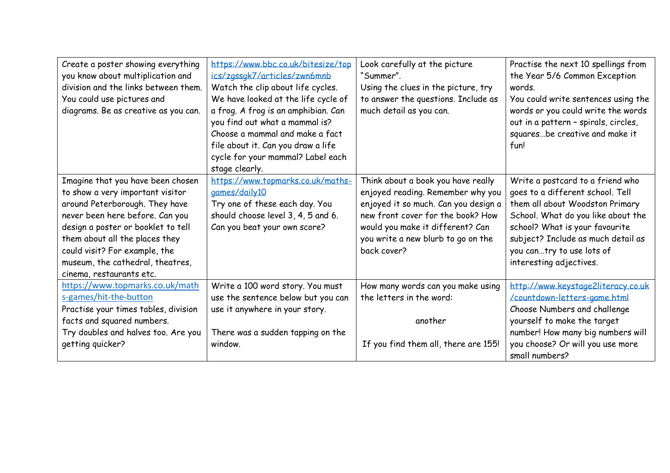| Create a poster showing everything<br>you know about multiplication and<br>division and the links between them.<br>You could use pictures and<br>diagrams. Be as creative as you can.                                                                                                                               | https://www.bbc.co.uk/bitesize/top<br>ics/zgssgk7/articles/zwn6mnb<br>Watch the clip about life cycles.<br>We have looked at the life cycle of<br>a frog. A frog is an amphibian. Can<br>you find out what a mammal is?<br>Choose a mammal and make a fact<br>file about it. Can you draw a life<br>cycle for your mammal? Label each<br>stage clearly. | Look carefully at the picture<br>"Summer".<br>Using the clues in the picture, try<br>to answer the questions. Include as<br>much detail as you can.                                                                                           | Practise the next 10 spellings from<br>the Year 5/6 Common Exception<br>words.<br>You could write sentences using the<br>words or you could write the words<br>out in a pattern - spirals, circles,<br>squaresbe creative and make it<br>fun!                                 |
|---------------------------------------------------------------------------------------------------------------------------------------------------------------------------------------------------------------------------------------------------------------------------------------------------------------------|---------------------------------------------------------------------------------------------------------------------------------------------------------------------------------------------------------------------------------------------------------------------------------------------------------------------------------------------------------|-----------------------------------------------------------------------------------------------------------------------------------------------------------------------------------------------------------------------------------------------|-------------------------------------------------------------------------------------------------------------------------------------------------------------------------------------------------------------------------------------------------------------------------------|
| Imagine that you have been chosen<br>to show a very important visitor<br>around Peterborough. They have<br>never been here before. Can you<br>design a poster or booklet to tell<br>them about all the places they<br>could visit? For example, the<br>museum, the cathedral, theatres,<br>cinema, restaurants etc. | https://www.topmarks.co.uk/maths-<br>games/daily10<br>Try one of these each day. You<br>should choose level 3, 4, 5 and 6.<br>Can you beat your own score?                                                                                                                                                                                              | Think about a book you have really<br>enjoyed reading. Remember why you<br>enjoyed it so much. Can you design a<br>new front cover for the book? How<br>would you make it different? Can<br>you write a new blurb to go on the<br>back cover? | Write a postcard to a friend who<br>goes to a different school. Tell<br>them all about Woodston Primary<br>School. What do you like about the<br>school? What is your favourite<br>subject? Include as much detail as<br>you cantry to use lots of<br>interesting adjectives. |
| https://www.topmarks.co.uk/math<br>s-games/hit-the-button<br>Practise your times tables, division<br>facts and squared numbers.<br>Try doubles and halves too. Are you<br>getting quicker?                                                                                                                          | Write a 100 word story. You must<br>use the sentence below but you can<br>use it anywhere in your story.<br>There was a sudden tapping on the<br>window.                                                                                                                                                                                                | How many words can you make using<br>the letters in the word:<br>another<br>If you find them all, there are 155!                                                                                                                              | http://www.keystage2literacy.co.uk<br>/countdown-letters-game.html<br>Choose Numbers and challenge<br>yourself to make the target<br>number! How many big numbers will<br>you choose? Or will you use more<br>small numbers?                                                  |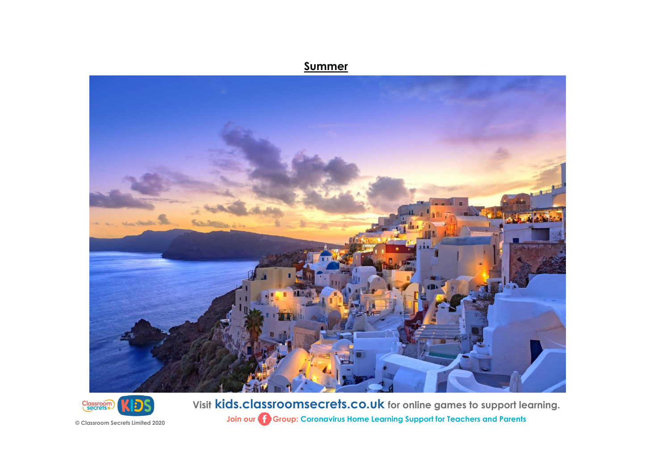## **Summer**



**Visit kids.classroomsecrets.co.uk for online games to support learning. Join our Group: Coronavirus Home Learning Support for Teachers and Parents**

**© Classroom Secrets Limited 2020**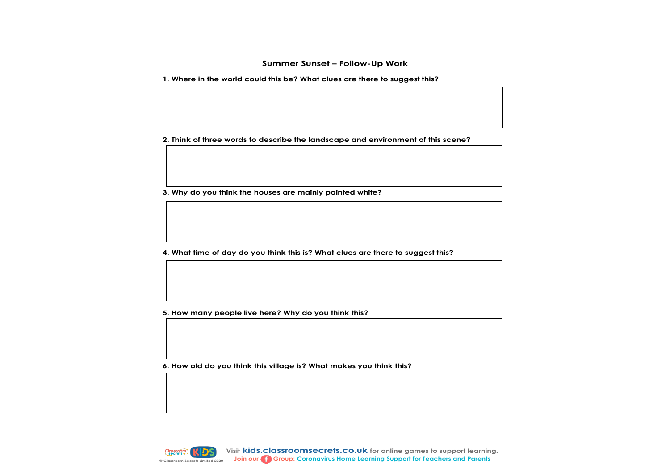## **Summer Sunset – Follow-Up Work**

**1. Where in the world could this be? What clues are there to suggest this?**

**2. Think of three words to describe the landscape and environment of this scene?**

**3. Why do you think the houses are mainly painted white?**

**4. What time of day do you think this is? What clues are there to suggest this?**

**5. How many people live here? Why do you think this?**

**6. How old do you think this village is? What makes you think this?**

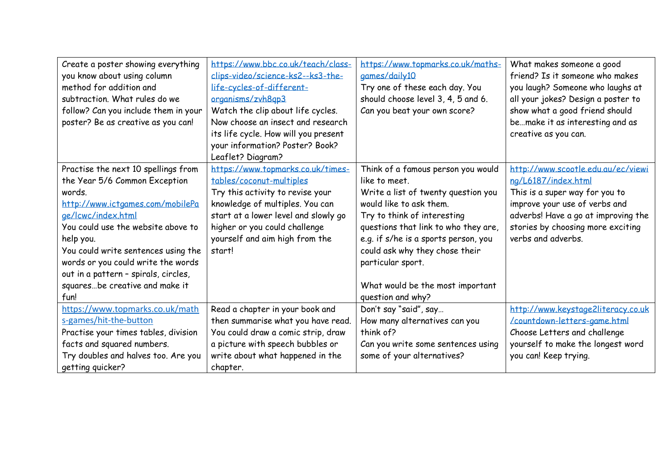| Create a poster showing everything   | https://www.bbc.co.uk/teach/class-   | https://www.topmarks.co.uk/maths-    | What makes someone a good           |
|--------------------------------------|--------------------------------------|--------------------------------------|-------------------------------------|
| you know about using column          | clips-video/science-ks2--ks3-the-    | games/daily10                        | friend? Is it someone who makes     |
| method for addition and              | life-cycles-of-different-            | Try one of these each day. You       | you laugh? Someone who laughs at    |
| subtraction. What rules do we        | organisms/zvh8qp3                    | should choose level 3, 4, 5 and 6.   | all your jokes? Design a poster to  |
| follow? Can you include them in your | Watch the clip about life cycles.    | Can you beat your own score?         | show what a good friend should      |
| poster? Be as creative as you can!   | Now choose an insect and research    |                                      | bemake it as interesting and as     |
|                                      | its life cycle. How will you present |                                      | creative as you can.                |
|                                      | your information? Poster? Book?      |                                      |                                     |
|                                      | Leaflet? Diagram?                    |                                      |                                     |
| Practise the next 10 spellings from  | https://www.topmarks.co.uk/times-    | Think of a famous person you would   | http://www.scootle.edu.au/ec/viewi  |
| the Year 5/6 Common Exception        | tables/coconut-multiples             | like to meet.                        | ng/L6187/index.html                 |
| words.                               | Try this activity to revise your     | Write a list of twenty question you  | This is a super way for you to      |
| http://www.ictgames.com/mobilePa     | knowledge of multiples. You can      | would like to ask them.              | improve your use of verbs and       |
| ge/lcwc/index.html                   | start at a lower level and slowly go | Try to think of interesting          | adverbs! Have a go at improving the |
| You could use the website above to   | higher or you could challenge        | questions that link to who they are, | stories by choosing more exciting   |
| help you.                            | yourself and aim high from the       | e.g. if s/he is a sports person, you | verbs and adverbs.                  |
| You could write sentences using the  | start!                               | could ask why they chose their       |                                     |
| words or you could write the words   |                                      | particular sport.                    |                                     |
| out in a pattern - spirals, circles, |                                      |                                      |                                     |
| squaresbe creative and make it       |                                      | What would be the most important     |                                     |
| fun!                                 |                                      | question and why?                    |                                     |
| https://www.topmarks.co.uk/math      | Read a chapter in your book and      | Don't say "said", say                | http://www.keystage2literacy.co.uk  |
| s-games/hit-the-button               | then summarise what you have read.   | How many alternatives can you        | /countdown-letters-game.html        |
| Practise your times tables, division | You could draw a comic strip, draw   | think of?                            | Choose Letters and challenge        |
| facts and squared numbers.           | a picture with speech bubbles or     | Can you write some sentences using   | yourself to make the longest word   |
| Try doubles and halves too. Are you  | write about what happened in the     | some of your alternatives?           | you can! Keep trying.               |
| getting quicker?                     | chapter.                             |                                      |                                     |